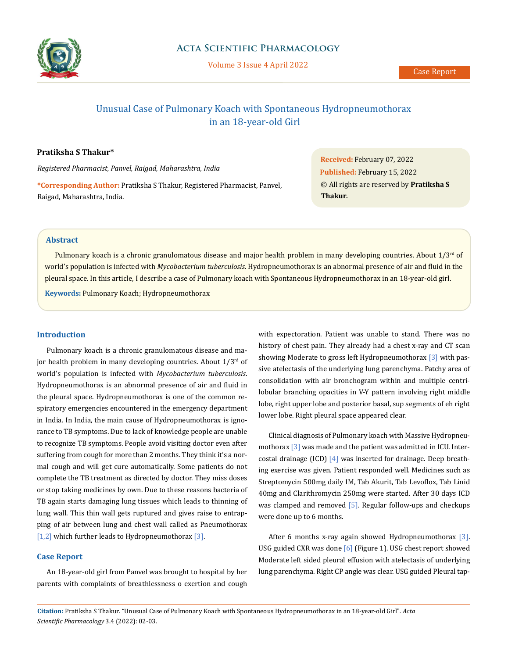

# Unusual Case of Pulmonary Koach with Spontaneous Hydropneumothorax in an 18-year-old Girl

#### **Pratiksha S Thakur\***

*Registered Pharmacist, Panvel, Raigad, Maharashtra, India* **\*Corresponding Author:** Pratiksha S Thakur, Registered Pharmacist, Panvel, Raigad, Maharashtra, India.

**Received:** February 07, 2022 **Published:** February 15, 2022 © All rights are reserved by **Pratiksha S Thakur***.* 

## **Abstract**

Pulmonary koach is a chronic granulomatous disease and major health problem in many developing countries. About  $1/3<sup>rd</sup>$  of world's population is infected with *Mycobacterium tuberculosis*. Hydropneumothorax is an abnormal presence of air and fluid in the pleural space. In this article, I describe a case of Pulmonary koach with Spontaneous Hydropneumothorax in an 18-year-old girl.

**Keywords:** Pulmonary Koach; Hydropneumothorax

#### **Introduction**

Pulmonary koach is a chronic granulomatous disease and major health problem in many developing countries. About  $1/3^{rd}$  of world's population is infected with *Mycobacterium tuberculosis*. Hydropneumothorax is an abnormal presence of air and fluid in the pleural space. Hydropneumothorax is one of the common respiratory emergencies encountered in the emergency department in India. In India, the main cause of Hydropneumothorax is ignorance to TB symptoms. Due to lack of knowledge people are unable to recognize TB symptoms. People avoid visiting doctor even after suffering from cough for more than 2 months. They think it's a normal cough and will get cure automatically. Some patients do not complete the TB treatment as directed by doctor. They miss doses or stop taking medicines by own. Due to these reasons bacteria of TB again starts damaging lung tissues which leads to thinning of lung wall. This thin wall gets ruptured and gives raise to entrapping of air between lung and chest wall called as Pneumothorax [1,2] which further leads to Hydropneumothorax [3].

#### **Case Report**

An 18-year-old girl from Panvel was brought to hospital by her parents with complaints of breathlessness o exertion and cough

with expectoration. Patient was unable to stand. There was no history of chest pain. They already had a chest x-ray and CT scan showing Moderate to gross left Hydropneumothorax [3] with passive atelectasis of the underlying lung parenchyma. Patchy area of consolidation with air bronchogram within and multiple centrilobular branching opacities in V-Y pattern involving right middle lobe, right upper lobe and posterior basal, sup segments of eh right lower lobe. Right pleural space appeared clear.

Clinical diagnosis of Pulmonary koach with Massive Hydropneumothorax [3] was made and the patient was admitted in ICU. Intercostal drainage (ICD) [4] was inserted for drainage. Deep breathing exercise was given. Patient responded well. Medicines such as Streptomycin 500mg daily IM, Tab Akurit, Tab Levoflox, Tab Linid 40mg and Clarithromycin 250mg were started. After 30 days ICD was clamped and removed  $[5]$ . Regular follow-ups and checkups were done up to 6 months.

After 6 months x-ray again showed Hydropneumothorax [3]. USG guided CXR was done [6] (Figure 1). USG chest report showed Moderate left sided pleural effusion with atelectasis of underlying lung parenchyma. Right CP angle was clear. USG guided Pleural tap-

**Citation:** Pratiksha S Thakur*.* "Unusual Case of Pulmonary Koach with Spontaneous Hydropneumothorax in an 18-year-old Girl". *Acta Scientific Pharmacology* 3.4 (2022): 02-03.